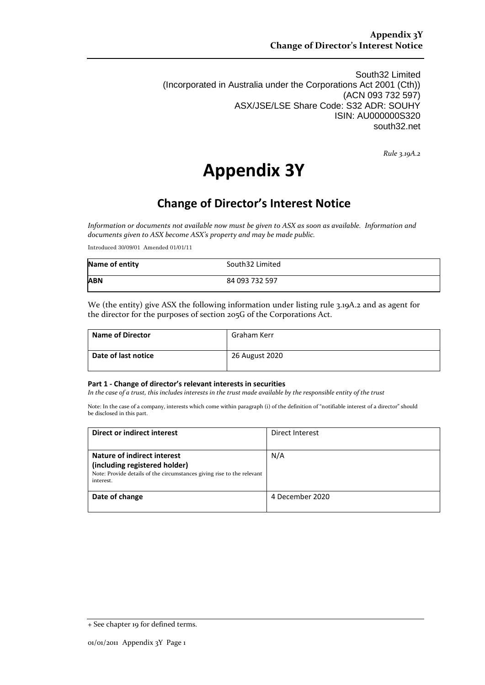South32 Limited (Incorporated in Australia under the Corporations Act 2001 (Cth)) (ACN 093 732 597) ASX/JSE/LSE Share Code: S32 ADR: SOUHY ISIN: AU000000S320 south32.net

*Rule 3.19A.2*

# **Appendix 3Y**

## **Change of Director's Interest Notice**

*Information or documents not available now must be given to ASX as soon as available. Information and documents given to ASX become ASX's property and may be made public.*

Introduced 30/09/01 Amended 01/01/11

| Name of entity | South32 Limited |
|----------------|-----------------|
| <b>ABN</b>     | 84 093 732 597  |

We (the entity) give ASX the following information under listing rule 3.19A.2 and as agent for the director for the purposes of section 205G of the Corporations Act.

| Name of Director    | Graham Kerr    |
|---------------------|----------------|
| Date of last notice | 26 August 2020 |

#### **Part 1 - Change of director's relevant interests in securities**

*In the case of a trust, this includes interests in the trust made available by the responsible entity of the trust*

Note: In the case of a company, interests which come within paragraph (i) of the definition of "notifiable interest of a director" should be disclosed in this part.

| Direct or indirect interest                                                                                                                         | Direct Interest |
|-----------------------------------------------------------------------------------------------------------------------------------------------------|-----------------|
| Nature of indirect interest<br>(including registered holder)<br>Note: Provide details of the circumstances giving rise to the relevant<br>interest. | N/A             |
| Date of change                                                                                                                                      | 4 December 2020 |

<sup>+</sup> See chapter 19 for defined terms.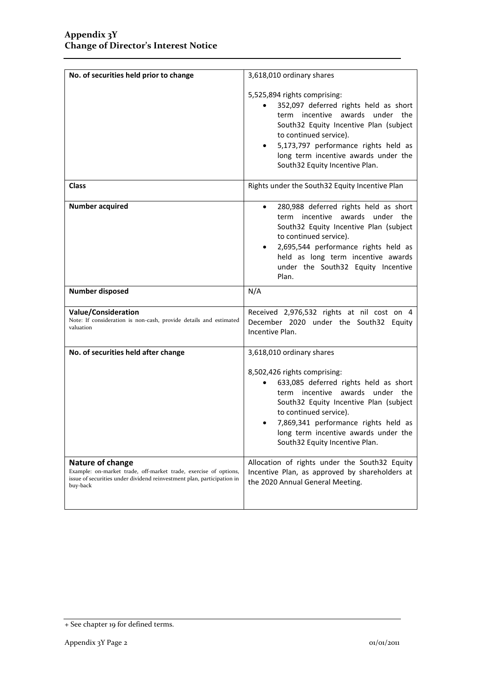| No. of securities held prior to change                                                                       | 3,618,010 ordinary shares                                                                                                                                                                                                                                                                                   |  |
|--------------------------------------------------------------------------------------------------------------|-------------------------------------------------------------------------------------------------------------------------------------------------------------------------------------------------------------------------------------------------------------------------------------------------------------|--|
|                                                                                                              | 5,525,894 rights comprising:<br>352,097 deferred rights held as short<br>$\bullet$<br>term incentive awards under the<br>South32 Equity Incentive Plan (subject<br>to continued service).<br>5,173,797 performance rights held as<br>long term incentive awards under the<br>South32 Equity Incentive Plan. |  |
| <b>Class</b>                                                                                                 | Rights under the South32 Equity Incentive Plan                                                                                                                                                                                                                                                              |  |
| <b>Number acquired</b>                                                                                       | 280,988 deferred rights held as short<br>$\bullet$<br>term incentive awards under the<br>South32 Equity Incentive Plan (subject<br>to continued service).<br>2,695,544 performance rights held as<br>held as long term incentive awards<br>under the South32 Equity Incentive<br>Plan.                      |  |
| <b>Number disposed</b>                                                                                       | N/A                                                                                                                                                                                                                                                                                                         |  |
| <b>Value/Consideration</b><br>Note: If consideration is non-cash, provide details and estimated<br>valuation | Received 2,976,532 rights at nil cost on 4<br>December 2020 under the South32 Equity<br>Incentive Plan.                                                                                                                                                                                                     |  |
| No. of securities held after change                                                                          | 3,618,010 ordinary shares                                                                                                                                                                                                                                                                                   |  |
|                                                                                                              | 8,502,426 rights comprising:<br>633,085 deferred rights held as short<br>term incentive awards under the                                                                                                                                                                                                    |  |
|                                                                                                              | South32 Equity Incentive Plan (subject<br>to continued service).<br>7,869,341 performance rights held as<br>long term incentive awards under the<br>South32 Equity Incentive Plan.                                                                                                                          |  |

<sup>+</sup> See chapter 19 for defined terms.